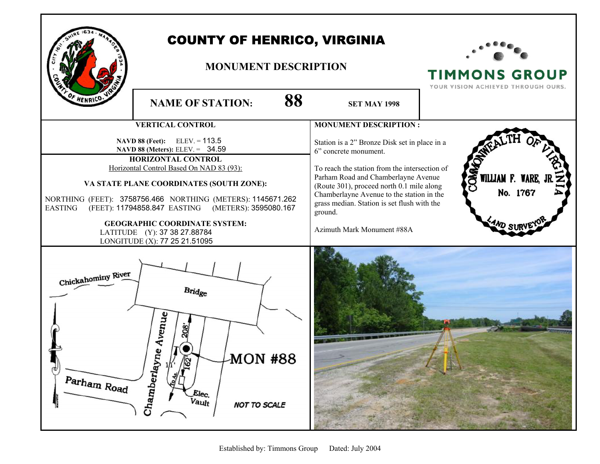

## COUNTY OF HENRICO, VIRGINIA

### **MONUMENT DESCRIPTION**



## **TIMMONS GROUP**

YOUR VISION ACHIEVED THROUGH OURS.